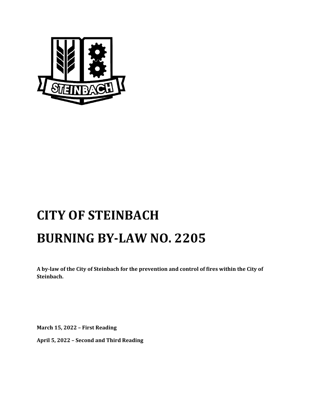

# **CITY OF STEINBACH BURNING BY‐LAW NO. 2205**

A by-law of the City of Steinbach for the prevention and control of fires within the City of **Steinbach.**

**March 15, 2022 – First Reading**

**April 5, 2022 – Second and Third Reading**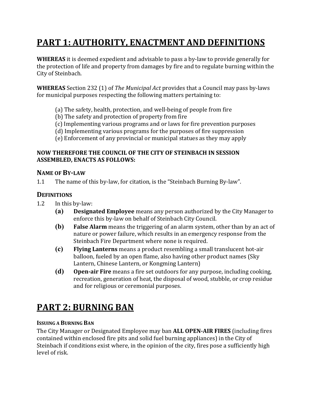# **PART 1: AUTHORITY, ENACTMENT AND DEFINITIONS**

**WHEREAS** it is deemed expedient and advisable to pass a by-law to provide generally for the protection of life and property from damages by fire and to regulate burning within the City of Steinbach.

**WHEREAS** Section 232 (1) of *The Municipal Act* provides that a Council may pass by-laws for municipal purposes respecting the following matters pertaining to:

- (a) The safety, health, protection, and well-being of people from fire
- (b) The safety and protection of property from fire
- (c) Implementing various programs and or laws for fire prevention purposes
- (d) Implementing various programs for the purposes of fire suppression
- (e) Enforcement of any provincial or municipal statues as they may apply

#### **NOW THEREFORE THE COUNCIL OF THE CITY OF STEINBACH IN SESSION ASSEMBLED, ENACTS AS FOLLOWS:**

#### **NAME OF BY‐LAW**

1.1 The name of this by-law, for citation, is the "Steinbach Burning By-law".

#### **DEFINITIONS**

- 1.2 In this by-law:
	- **(a) Designated Employee** means any person authorized by the City Manager to enforce this by-law on behalf of Steinbach City Council.
	- **(b) False Alarm** means the triggering of an alarm system, other than by an act of nature or power failure, which results in an emergency response from the Steinbach Fire Department where none is required.
	- **(c) Flying Lanterns** means a product resembling a small translucent hot-air balloon, fueled by an open flame, also having other product names (Sky Lantern, Chinese Lantern, or Kongming Lantern)
	- **(d) Open‐air Fire** means a fire set outdoors for any purpose, including cooking, recreation, generation of heat, the disposal of wood, stubble, or crop residue and for religious or ceremonial purposes.

### **PART 2: BURNING BAN**

#### **ISSUING A BURNING BAN**

The City Manager or Designated Employee may ban **ALL OPEN‐AIR FIRES** (including fires contained within enclosed fire pits and solid fuel burning appliances) in the City of Steinbach if conditions exist where, in the opinion of the city, fires pose a sufficiently high level of risk.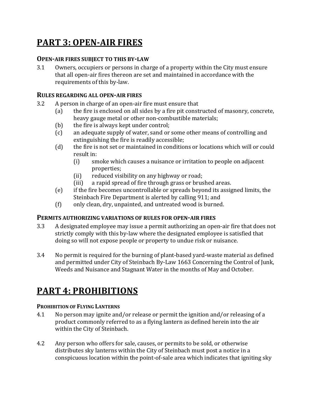# **PART 3: OPEN‐AIR FIRES**

#### **OPEN‐AIR FIRES SUBJECT TO THIS BY‐LAW**

3.1 Owners, occupiers or persons in charge of a property within the City must ensure that all open-air fires thereon are set and maintained in accordance with the requirements of this by-law.

#### **RULES REGARDING ALL OPEN‐AIR FIRES**

- 3.2 A person in charge of an open-air fire must ensure that
	- (a) the fire is enclosed on all sides by a fire pit constructed of masonry, concrete, heavy gauge metal or other non-combustible materials;
	- (b) the fire is always kept under control;
	- (c) an adequate supply of water, sand or some other means of controlling and extinguishing the fire is readily accessible;
	- (d) the fire is not set or maintained in conditions or locations which will or could result in:
		- (i) smoke which causes a nuisance or irritation to people on adjacent properties;
		- (ii) reduced visibility on any highway or road;
		- (iii) a rapid spread of fire through grass or brushed areas.
	- (e) if the fire becomes uncontrollable or spreads beyond its assigned limits, the Steinbach Fire Department is alerted by calling 911; and
	- (f) only clean, dry, unpainted, and untreated wood is burned.

#### **PERMITS AUTHORIZING VARIATIONS OF RULES FOR OPEN‐AIR FIRES**

- 3.3 A designated employee may issue a permit authorizing an open-air fire that does not strictly comply with this by-law where the designated employee is satisfied that doing so will not expose people or property to undue risk or nuisance.
- 3.4 No permit is required for the burning of plant-based yard-waste material as defined and permitted under City of Steinbach By-Law 1663 Concerning the Control of Junk, Weeds and Nuisance and Stagnant Water in the months of May and October.

### **PART 4: PROHIBITIONS**

#### **PROHIBITION OF FLYING LANTERNS**

- 4.1 No person may ignite and/or release or permit the ignition and/or releasing of a product commonly referred to as a flying lantern as defined herein into the air within the City of Steinbach.
- 4.2 Any person who offers for sale, causes, or permits to be sold, or otherwise distributes sky lanterns within the City of Steinbach must post a notice in a conspicuous location within the point-of-sale area which indicates that igniting sky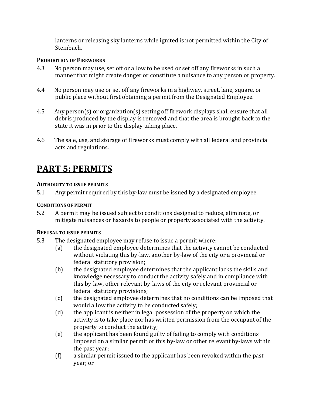lanterns or releasing sky lanterns while ignited is not permitted within the City of Steinbach.

#### **PROHIBITION OF FIREWORKS**

- 4.3 No person may use, set off or allow to be used or set off any fireworks in such a manner that might create danger or constitute a nuisance to any person or property.
- 4.4 No person may use or set off any fireworks in a highway, street, lane, square, or public place without first obtaining a permit from the Designated Employee.
- 4.5 Any person(s) or organization(s) setting off firework displays shall ensure that all debris produced by the display is removed and that the area is brought back to the state it was in prior to the display taking place.
- 4.6 The sale, use, and storage of fireworks must comply with all federal and provincial acts and regulations.

# **PART 5: PERMITS**

#### **AUTHORITY TO ISSUE PERMITS**

5.1 Any permit required by this by-law must be issued by a designated employee.

#### **CONDITIONS OF PERMIT**

5.2 A permit may be issued subject to conditions designed to reduce, eliminate, or mitigate nuisances or hazards to people or property associated with the activity.

#### **REFUSAL TO ISSUE PERMITS**

- 5.3 The designated employee may refuse to issue a permit where:
	- (a) the designated employee determines that the activity cannot be conducted without violating this by-law, another by-law of the city or a provincial or federal statutory provision;
	- (b) the designated employee determines that the applicant lacks the skills and knowledge necessary to conduct the activity safely and in compliance with this by-law, other relevant by-laws of the city or relevant provincial or federal statutory provisions;
	- (c) the designated employee determines that no conditions can be imposed that would allow the activity to be conducted safely;
	- (d) the applicant is neither in legal possession of the property on which the activity is to take place nor has written permission from the occupant of the property to conduct the activity;
	- (e) the applicant has been found guilty of failing to comply with conditions imposed on a similar permit or this by-law or other relevant by-laws within the past year;
	- (f) a similar permit issued to the applicant has been revoked within the past year; or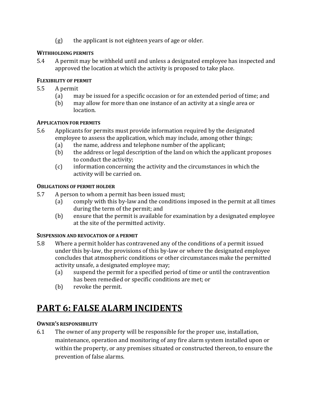(g) the applicant is not eighteen years of age or older.

#### **WITHHOLDING PERMITS**

5.4 A permit may be withheld until and unless a designated employee has inspected and approved the location at which the activity is proposed to take place.

#### **FLEXIBILITY OF PERMIT**

- 5.5 A permit
	- (a) may be issued for a specific occasion or for an extended period of time; and
	- (b) may allow for more than one instance of an activity at a single area or location.

#### **APPLICATION FOR PERMITS**

- 5.6 Applicants for permits must provide information required by the designated employee to assess the application, which may include, among other things;
	- (a) the name, address and telephone number of the applicant;
	- (b) the address or legal description of the land on which the applicant proposes to conduct the activity;
	- (c) information concerning the activity and the circumstances in which the activity will be carried on.

#### **OBLIGATIONS OF PERMIT HOLDER**

- 5.7 A person to whom a permit has been issued must;
	- (a) comply with this by-law and the conditions imposed in the permit at all times during the term of the permit; and
	- (b) ensure that the permit is available for examination by a designated employee at the site of the permitted activity.

#### **SUSPENSION AND REVOCATION OF A PERMIT**

- 5.8 Where a permit holder has contravened any of the conditions of a permit issued under this by-law, the provisions of this by-law or where the designated employee concludes that atmospheric conditions or other circumstances make the permitted activity unsafe, a designated employee may;
	- (a) suspend the permit for a specified period of time or until the contravention has been remedied or specific conditions are met; or
	- (b) revoke the permit.

### **PART 6: FALSE ALARM INCIDENTS**

#### **OWNER'S RESPONSIBILITY**

6.1 The owner of any property will be responsible for the proper use, installation, maintenance, operation and monitoring of any fire alarm system installed upon or within the property, or any premises situated or constructed thereon, to ensure the prevention of false alarms.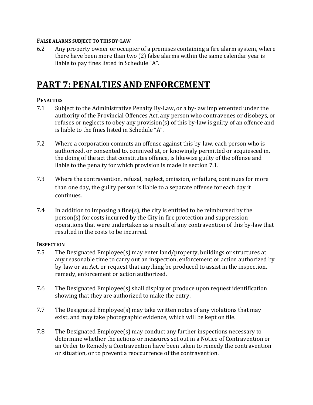#### **FALSE ALARMS SUBJECT TO THIS BY‐LAW**

6.2 Any property owner or occupier of a premises containing a fire alarm system, where there have been more than two (2) false alarms within the same calendar year is liable to pay fines listed in Schedule "A".

### **PART 7: PENALTIES AND ENFORCEMENT**

#### **PENALTIES**

- 7.1 Subject to the Administrative Penalty By-Law, or a by-law implemented under the authority of the Provincial Offences Act, any person who contravenes or disobeys, or refuses or neglects to obey any provision(s) of this by-law is guilty of an offence and is liable to the fines listed in Schedule "A".
- 7.2 Where a corporation commits an offense against this by-law, each person who is authorized, or consented to, connived at, or knowingly permitted or acquiesced in, the doing of the act that constitutes offence, is likewise guilty of the offense and liable to the penalty for which provision is made in section 7.1.
- 7.3 Where the contravention, refusal, neglect, omission, or failure, continues for more than one day, the guilty person is liable to a separate offense for each day it continues.
- 7.4 In addition to imposing a fine(s), the city is entitled to be reimbursed by the person(s) for costs incurred by the City in fire protection and suppression operations that were undertaken as a result of any contravention of this by-law that resulted in the costs to be incurred.

#### **INSPECTION**

- 7.5 The Designated Employee(s) may enter land/property, buildings or structures at any reasonable time to carry out an inspection, enforcement or action authorized by by-law or an Act, or request that anything be produced to assist in the inspection, remedy, enforcement or action authorized.
- 7.6 The Designated Employee(s) shall display or produce upon request identification showing that they are authorized to make the entry.
- 7.7 The Designated Employee(s) may take written notes of any violations that may exist, and may take photographic evidence, which will be kept on file.
- 7.8 The Designated Employee(s) may conduct any further inspections necessary to determine whether the actions or measures set out in a Notice of Contravention or an Order to Remedy a Contravention have been taken to remedy the contravention or situation, or to prevent a reoccurrence of the contravention.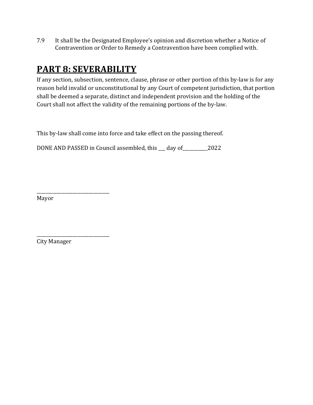7.9 It shall be the Designated Employee's opinion and discretion whether a Notice of Contravention or Order to Remedy a Contravention have been complied with.

# **PART 8: SEVERABILITY**

If any section, subsection, sentence, clause, phrase or other portion of this by-law is for any reason held invalid or unconstitutional by any Court of competent jurisdiction, that portion shall be deemed a separate, distinct and independent provision and the holding of the Court shall not affect the validity of the remaining portions of the by-law.

This by-law shall come into force and take effect on the passing thereof.

DONE AND PASSED in Council assembled, this \_\_\_ day of\_\_\_\_\_\_\_\_\_\_\_2022

Mayor

City Manager

\_\_\_\_\_\_\_\_\_\_\_\_\_\_\_\_\_\_\_\_\_\_\_\_\_\_\_\_\_\_\_\_

\_\_\_\_\_\_\_\_\_\_\_\_\_\_\_\_\_\_\_\_\_\_\_\_\_\_\_\_\_\_\_\_